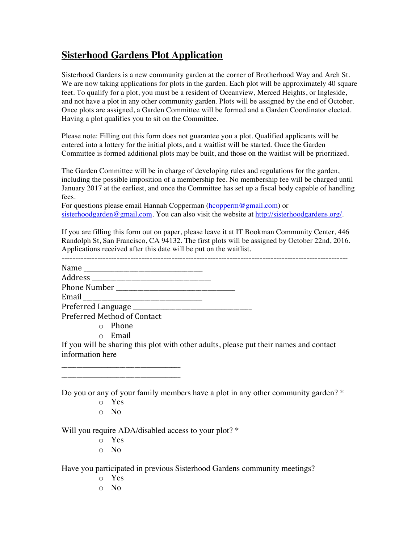## **Sisterhood Gardens Plot Application**

Sisterhood Gardens is a new community garden at the corner of Brotherhood Way and Arch St. We are now taking applications for plots in the garden. Each plot will be approximately 40 square feet. To qualify for a plot, you must be a resident of Oceanview, Merced Heights, or Ingleside, and not have a plot in any other community garden. Plots will be assigned by the end of October. Once plots are assigned, a Garden Committee will be formed and a Garden Coordinator elected. Having a plot qualifies you to sit on the Committee.

Please note: Filling out this form does not guarantee you a plot. Qualified applicants will be entered into a lottery for the initial plots, and a waitlist will be started. Once the Garden Committee is formed additional plots may be built, and those on the waitlist will be prioritized.

The Garden Committee will be in charge of developing rules and regulations for the garden, including the possible imposition of a membership fee. No membership fee will be charged until January 2017 at the earliest, and once the Committee has set up a fiscal body capable of handling fees.

For questions please email Hannah Copperman (hcopperm@gmail.com) or sisterhoodgarden@gmail.com. You can also visit the website at http://sisterhoodgardens.org/.

If you are filling this form out on paper, please leave it at IT Bookman Community Center, 446 Randolph St, San Francisco, CA 94132. The first plots will be assigned by October 22nd, 2016. Applications received after this date will be put on the waitlist.

| Preferred Method of Contact |  |
|-----------------------------|--|
| o Phone                     |  |
|                             |  |

o Email

\_\_\_\_\_\_\_\_\_\_\_\_\_\_\_\_\_\_\_\_\_\_\_\_\_\_\_\_\_\_\_\_\_\_\_\_\_\_\_ \_\_\_\_\_\_\_\_\_\_\_\_\_\_\_\_\_\_\_\_\_\_\_\_\_\_\_\_\_\_\_\_\_\_\_\_\_\_\_

If you will be sharing this plot with other adults, please put their names and contact information here

Do you or any of your family members have a plot in any other community garden? \*

- o Yes
- o No

Will you require ADA/disabled access to your plot? \*

- o Yes
- o No

Have you participated in previous Sisterhood Gardens community meetings?

- o Yes
- o No